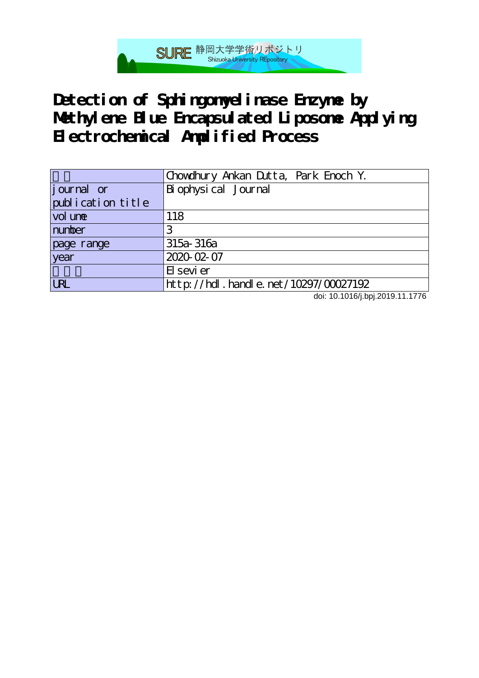

Detection of Sphingomyelinase Enzyme by **Methylene Blue Encapsulated Liposome Applying Electrochemical Amplified Process**

|                    | Chowdhury Ankan Dutta, Park Enoch Y.      |
|--------------------|-------------------------------------------|
| <i>j</i> ournal or | Bi ophysical Journal                      |
| publication title  |                                           |
| vol une            | 118                                       |
| number             | З                                         |
| page range         | $315a - 316a$                             |
| year               | 2020-02-07                                |
|                    | El sevi er                                |
| <b>LRL</b>         | $http$ ://hdl. handle. net/10297/00027192 |

doi: 10.1016/j.bpj.2019.11.1776